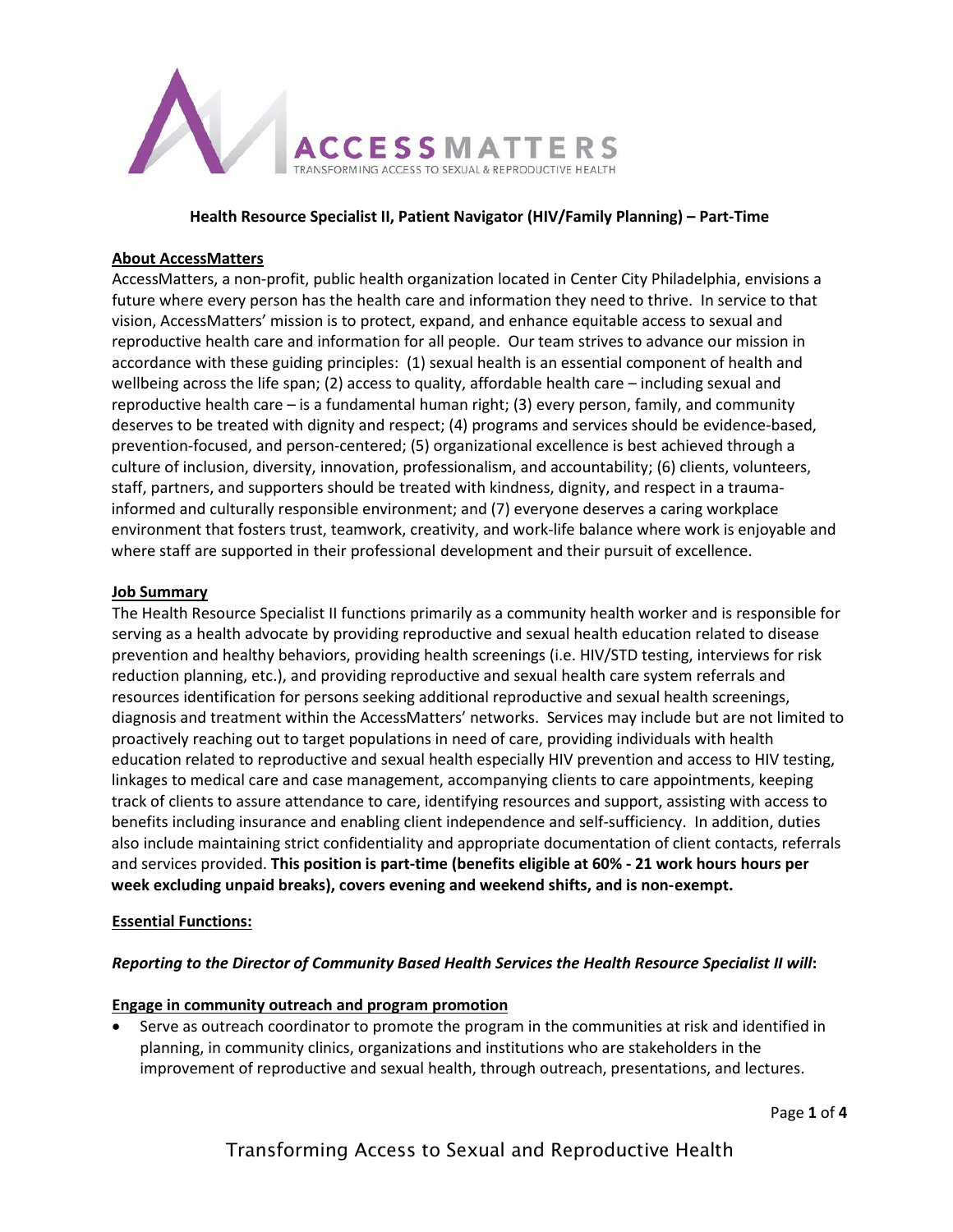

### **Health Resource Specialist II, Patient Navigator (HIV/Family Planning) – Part-Time**

### **About AccessMatters**

AccessMatters, a non-profit, public health organization located in Center City Philadelphia, envisions a future where every person has the health care and information they need to thrive. In service to that vision, AccessMatters' mission is to protect, expand, and enhance equitable access to sexual and reproductive health care and information for all people. Our team strives to advance our mission in accordance with these guiding principles: (1) sexual health is an essential component of health and wellbeing across the life span; (2) access to quality, affordable health care - including sexual and reproductive health care – is a fundamental human right; (3) every person, family, and community deserves to be treated with dignity and respect; (4) programs and services should be evidence-based, prevention-focused, and person-centered; (5) organizational excellence is best achieved through a culture of inclusion, diversity, innovation, professionalism, and accountability; (6) clients, volunteers, staff, partners, and supporters should be treated with kindness, dignity, and respect in a traumainformed and culturally responsible environment; and (7) everyone deserves a caring workplace environment that fosters trust, teamwork, creativity, and work-life balance where work is enjoyable and where staff are supported in their professional development and their pursuit of excellence.

### **Job Summary**

The Health Resource Specialist II functions primarily as a community health worker and is responsible for serving as a health advocate by providing reproductive and sexual health education related to disease prevention and healthy behaviors, providing health screenings (i.e. HIV/STD testing, interviews for risk reduction planning, etc.), and providing reproductive and sexual health care system referrals and resources identification for persons seeking additional reproductive and sexual health screenings, diagnosis and treatment within the AccessMatters' networks. Services may include but are not limited to proactively reaching out to target populations in need of care, providing individuals with health education related to reproductive and sexual health especially HIV prevention and access to HIV testing, linkages to medical care and case management, accompanying clients to care appointments, keeping track of clients to assure attendance to care, identifying resources and support, assisting with access to benefits including insurance and enabling client independence and self-sufficiency. In addition, duties also include maintaining strict confidentiality and appropriate documentation of client contacts, referrals and services provided. **This position is part-time (benefits eligible at 60% - 21 work hours hours per week excluding unpaid breaks), covers evening and weekend shifts, and is non-exempt.**

### **Essential Functions:**

### *Reporting to the Director of Community Based Health Services the Health Resource Specialist II will***:**

## **Engage in community outreach and program promotion**

• Serve as outreach coordinator to promote the program in the communities at risk and identified in planning, in community clinics, organizations and institutions who are stakeholders in the improvement of reproductive and sexual health, through outreach, presentations, and lectures.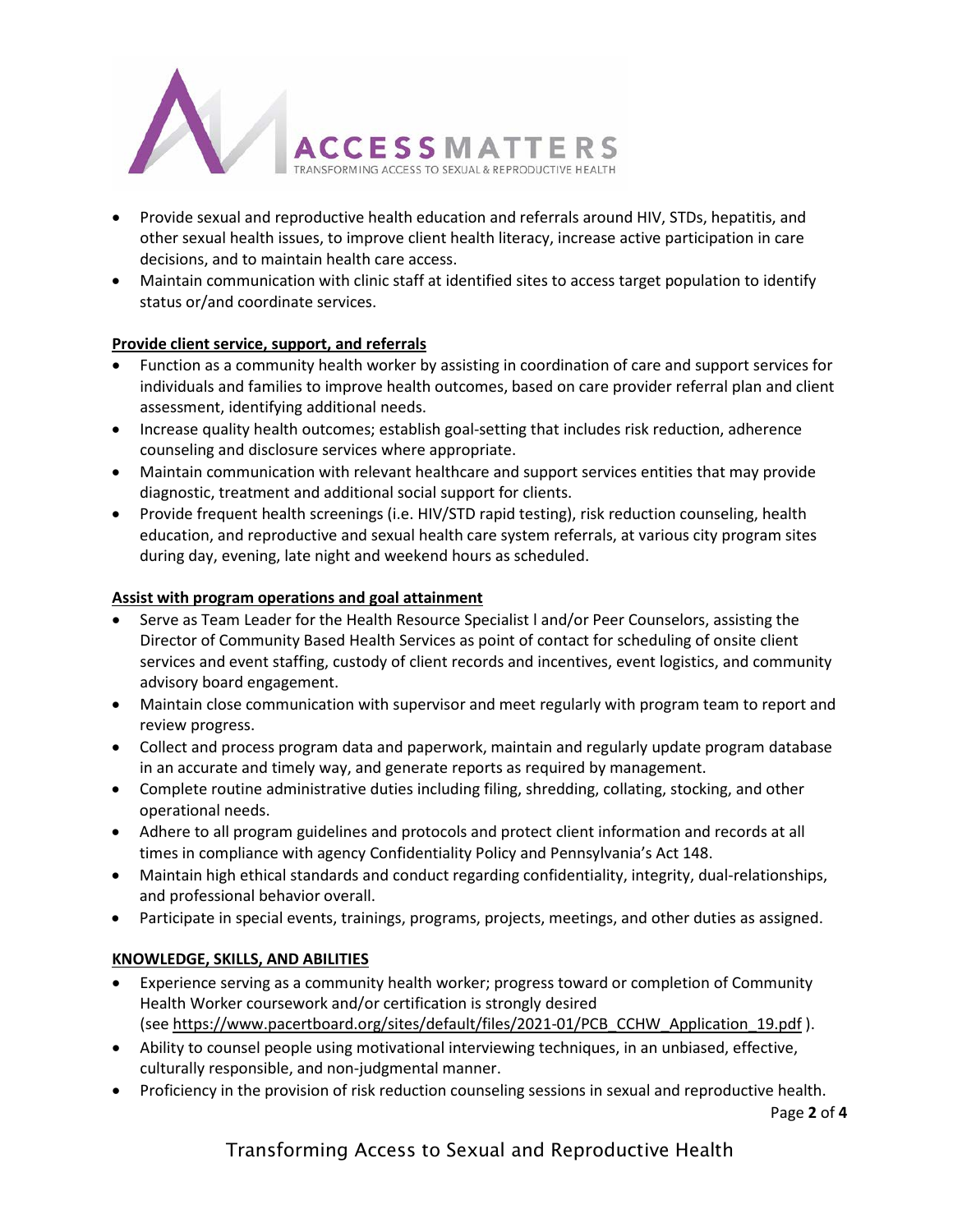

- Provide sexual and reproductive health education and referrals around HIV, STDs, hepatitis, and other sexual health issues, to improve client health literacy, increase active participation in care decisions, and to maintain health care access.
- Maintain communication with clinic staff at identified sites to access target population to identify status or/and coordinate services.

# **Provide client service, support, and referrals**

- Function as a community health worker by assisting in coordination of care and support services for individuals and families to improve health outcomes, based on care provider referral plan and client assessment, identifying additional needs.
- Increase quality health outcomes; establish goal-setting that includes risk reduction, adherence counseling and disclosure services where appropriate.
- Maintain communication with relevant healthcare and support services entities that may provide diagnostic, treatment and additional social support for clients.
- Provide frequent health screenings (i.e. HIV/STD rapid testing), risk reduction counseling, health education, and reproductive and sexual health care system referrals, at various city program sites during day, evening, late night and weekend hours as scheduled.

## **Assist with program operations and goal attainment**

- Serve as Team Leader for the Health Resource Specialist l and/or Peer Counselors, assisting the Director of Community Based Health Services as point of contact for scheduling of onsite client services and event staffing, custody of client records and incentives, event logistics, and community advisory board engagement.
- Maintain close communication with supervisor and meet regularly with program team to report and review progress.
- Collect and process program data and paperwork, maintain and regularly update program database in an accurate and timely way, and generate reports as required by management.
- Complete routine administrative duties including filing, shredding, collating, stocking, and other operational needs.
- Adhere to all program guidelines and protocols and protect client information and records at all times in compliance with agency Confidentiality Policy and Pennsylvania's Act 148.
- Maintain high ethical standards and conduct regarding confidentiality, integrity, dual-relationships, and professional behavior overall.
- Participate in special events, trainings, programs, projects, meetings, and other duties as assigned.

# **KNOWLEDGE, SKILLS, AND ABILITIES**

- Experience serving as a community health worker; progress toward or completion of Community Health Worker coursework and/or certification is strongly desired (see [https://www.pacertboard.org/sites/default/files/2021-01/PCB\\_CCHW\\_Application\\_19.pdf](https://www.pacertboard.org/sites/default/files/2021-01/PCB_CCHW_Application_19.pdf) ).
- Ability to counsel people using motivational interviewing techniques, in an unbiased, effective, culturally responsible, and non-judgmental manner.
- Proficiency in the provision of risk reduction counseling sessions in sexual and reproductive health.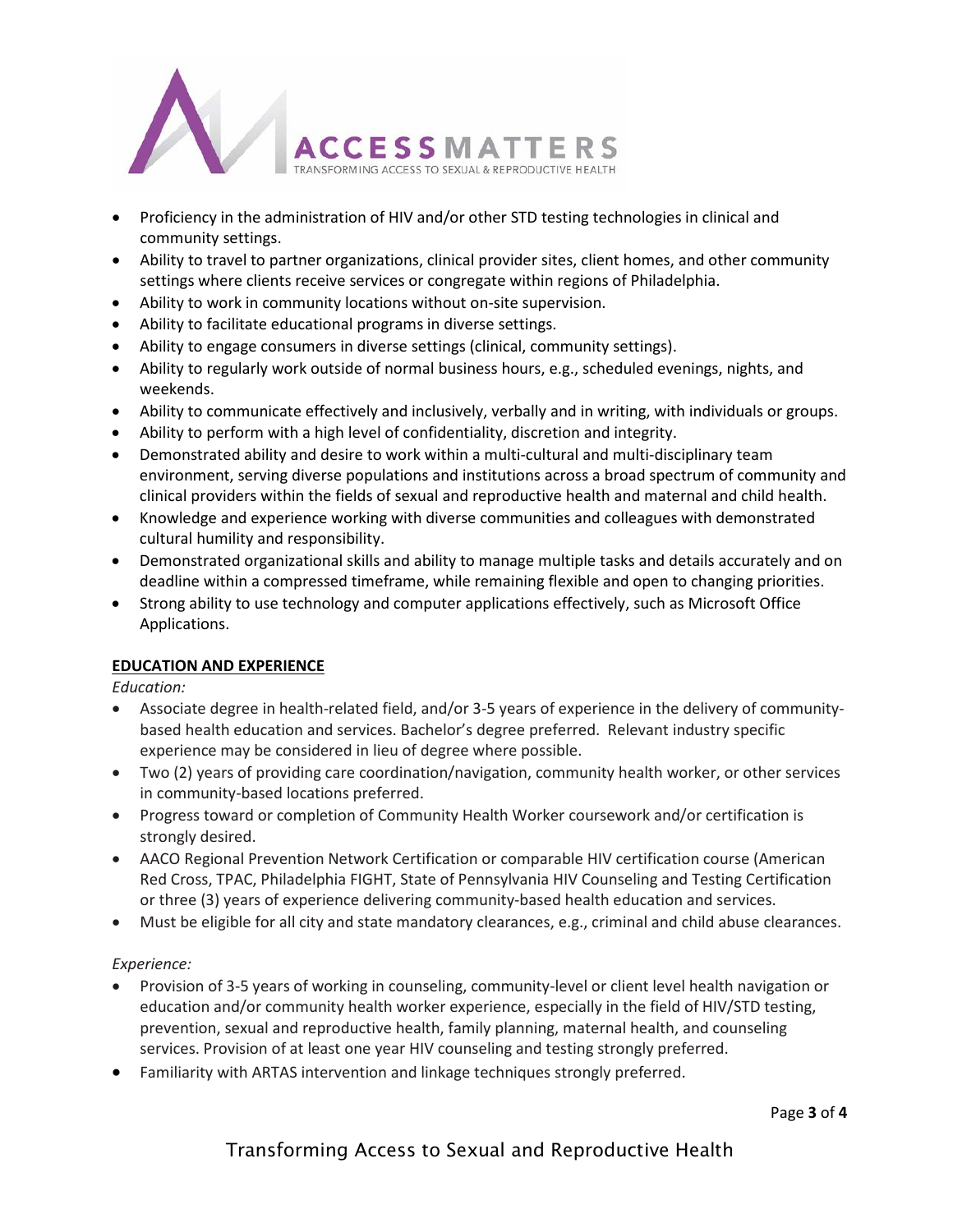

- Proficiency in the administration of HIV and/or other STD testing technologies in clinical and community settings.
- Ability to travel to partner organizations, clinical provider sites, client homes, and other community settings where clients receive services or congregate within regions of Philadelphia.
- Ability to work in community locations without on-site supervision.
- Ability to facilitate educational programs in diverse settings.
- Ability to engage consumers in diverse settings (clinical, community settings).
- Ability to regularly work outside of normal business hours, e.g., scheduled evenings, nights, and weekends.
- Ability to communicate effectively and inclusively, verbally and in writing, with individuals or groups.
- Ability to perform with a high level of confidentiality, discretion and integrity.
- Demonstrated ability and desire to work within a multi-cultural and multi-disciplinary team environment, serving diverse populations and institutions across a broad spectrum of community and clinical providers within the fields of sexual and reproductive health and maternal and child health.
- Knowledge and experience working with diverse communities and colleagues with demonstrated cultural humility and responsibility.
- Demonstrated organizational skills and ability to manage multiple tasks and details accurately and on deadline within a compressed timeframe, while remaining flexible and open to changing priorities.
- Strong ability to use technology and computer applications effectively, such as Microsoft Office Applications.

## **EDUCATION AND EXPERIENCE**

*Education:*

- Associate degree in health-related field, and/or 3-5 years of experience in the delivery of communitybased health education and services. Bachelor's degree preferred. Relevant industry specific experience may be considered in lieu of degree where possible.
- Two (2) years of providing care coordination/navigation, community health worker, or other services in community-based locations preferred.
- Progress toward or completion of Community Health Worker coursework and/or certification is strongly desired.
- AACO Regional Prevention Network Certification or comparable HIV certification course (American Red Cross, TPAC, Philadelphia FIGHT, State of Pennsylvania HIV Counseling and Testing Certification or three (3) years of experience delivering community-based health education and services.
- Must be eligible for all city and state mandatory clearances, e.g., criminal and child abuse clearances.

## *Experience:*

- Provision of 3-5 years of working in counseling, community-level or client level health navigation or education and/or community health worker experience, especially in the field of HIV/STD testing, prevention, sexual and reproductive health, family planning, maternal health, and counseling services. Provision of at least one year HIV counseling and testing strongly preferred.
- Familiarity with ARTAS intervention and linkage techniques strongly preferred.